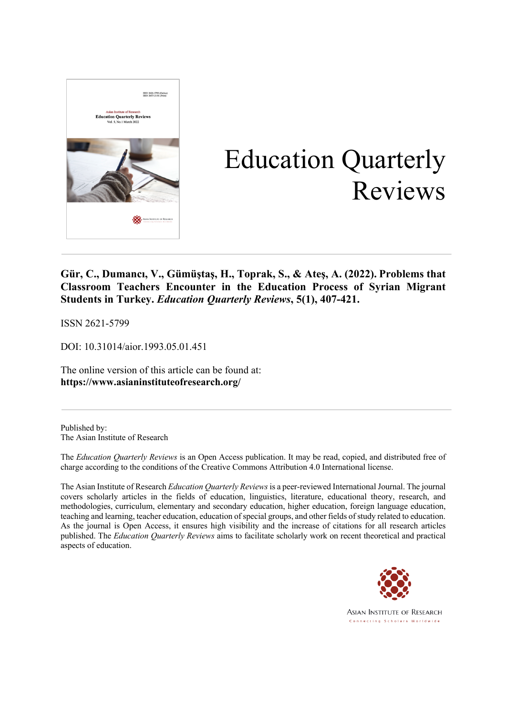

# Education Quarterly Reviews

**Gür, C., Dumancı, V., Gümüştaş, H., Toprak, S., & Ateş, A. (2022). Problems that Classroom Teachers Encounter in the Education Process of Syrian Migrant Students in Turkey.** *Education Quarterly Reviews***, 5(1), 407-421.**

ISSN 2621-5799

DOI: 10.31014/aior.1993.05.01.451

The online version of this article can be found at: **https://www.asianinstituteofresearch.org/**

Published by: The Asian Institute of Research

The *Education Quarterly Reviews* is an Open Access publication. It may be read, copied, and distributed free of charge according to the conditions of the Creative Commons Attribution 4.0 International license.

The Asian Institute of Research *Education Quarterly Reviews* is a peer-reviewed International Journal. The journal covers scholarly articles in the fields of education, linguistics, literature, educational theory, research, and methodologies, curriculum, elementary and secondary education, higher education, foreign language education, teaching and learning, teacher education, education of special groups, and other fields of study related to education. As the journal is Open Access, it ensures high visibility and the increase of citations for all research articles published. The *Education Quarterly Reviews* aims to facilitate scholarly work on recent theoretical and practical aspects of education.



**ASIAN INSTITUTE OF RESEARCH** Connecting Scholars Worldwide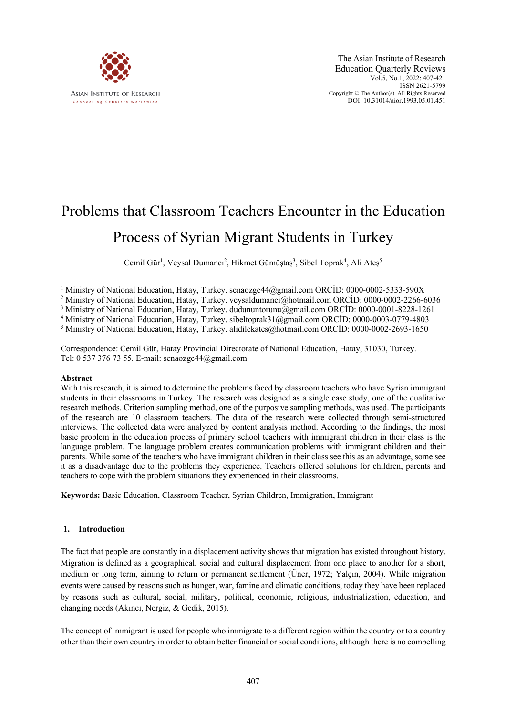

The Asian Institute of Research Education Quarterly Reviews Vol.5, No.1, 2022: 407-421 ISSN 2621-5799 Copyright © The Author(s). All Rights Reserved DOI: 10.31014/aior.1993.05.01.451

# Problems that Classroom Teachers Encounter in the Education Process of Syrian Migrant Students in Turkey

Cemil Gür<sup>1</sup>, Veysal Dumancı<sup>2</sup>, Hikmet Gümüştaş<sup>3</sup>, Sibel Toprak<sup>4</sup>, Ali Ateş<sup>5</sup>

<sup>1</sup> Ministry of National Education, Hatay, Turkey. senaozge44@gmail.com ORCID: 0000-0002-5333-590X

<sup>2</sup> Ministry of National Education, Hatay, Turkey. veysaldumanci@hotmail.com ORCİD: 0000-0002-2266-6036

<sup>3</sup> Ministry of National Education, Hatay, Turkey. dudununtorunu@gmail.com ORCİD: 0000-0001-8228-1261

<sup>4</sup> Ministry of National Education, Hatay, Turkey. sibeltoprak31@gmail.com ORCİD: 0000-0003-0779-4803

<sup>5</sup> Ministry of National Education, Hatay, Turkey. alidilekates@hotmail.com ORCİD: 0000-0002-2693-1650

Correspondence: Cemil Gür, Hatay Provincial Directorate of National Education, Hatay, 31030, Turkey. Tel: 0 537 376 73 55. E-mail: senaozge44@gmail.com

#### **Abstract**

With this research, it is aimed to determine the problems faced by classroom teachers who have Syrian immigrant students in their classrooms in Turkey. The research was designed as a single case study, one of the qualitative research methods. Criterion sampling method, one of the purposive sampling methods, was used. The participants of the research are 10 classroom teachers. The data of the research were collected through semi-structured interviews. The collected data were analyzed by content analysis method. According to the findings, the most basic problem in the education process of primary school teachers with immigrant children in their class is the language problem. The language problem creates communication problems with immigrant children and their parents. While some of the teachers who have immigrant children in their class see this as an advantage, some see it as a disadvantage due to the problems they experience. Teachers offered solutions for children, parents and teachers to cope with the problem situations they experienced in their classrooms.

**Keywords:** Basic Education, Classroom Teacher, Syrian Children, Immigration, Immigrant

#### **1. Introduction**

The fact that people are constantly in a displacement activity shows that migration has existed throughout history. Migration is defined as a geographical, social and cultural displacement from one place to another for a short, medium or long term, aiming to return or permanent settlement (Üner, 1972; Yalçın, 2004). While migration events were caused by reasons such as hunger, war, famine and climatic conditions, today they have been replaced by reasons such as cultural, social, military, political, economic, religious, industrialization, education, and changing needs (Akıncı, Nergiz, & Gedik, 2015).

The concept of immigrant is used for people who immigrate to a different region within the country or to a country other than their own country in order to obtain better financial or social conditions, although there is no compelling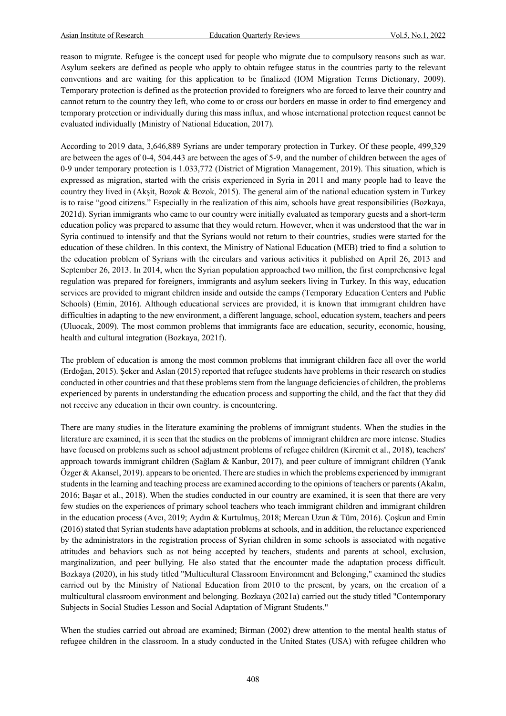reason to migrate. Refugee is the concept used for people who migrate due to compulsory reasons such as war. Asylum seekers are defined as people who apply to obtain refugee status in the countries party to the relevant conventions and are waiting for this application to be finalized (IOM Migration Terms Dictionary, 2009). Temporary protection is defined as the protection provided to foreigners who are forced to leave their country and cannot return to the country they left, who come to or cross our borders en masse in order to find emergency and temporary protection or individually during this mass influx, and whose international protection request cannot be evaluated individually (Ministry of National Education, 2017).

According to 2019 data, 3,646,889 Syrians are under temporary protection in Turkey. Of these people, 499,329 are between the ages of 0-4, 504.443 are between the ages of 5-9, and the number of children between the ages of 0-9 under temporary protection is 1.033,772 (District of Migration Management, 2019). This situation, which is expressed as migration, started with the crisis experienced in Syria in 2011 and many people had to leave the country they lived in (Akşit, Bozok & Bozok, 2015). The general aim of the national education system in Turkey is to raise "good citizens." Especially in the realization of this aim, schools have great responsibilities (Bozkaya, 2021d). Syrian immigrants who came to our country were initially evaluated as temporary guests and a short-term education policy was prepared to assume that they would return. However, when it was understood that the war in Syria continued to intensify and that the Syrians would not return to their countries, studies were started for the education of these children. In this context, the Ministry of National Education (MEB) tried to find a solution to the education problem of Syrians with the circulars and various activities it published on April 26, 2013 and September 26, 2013. In 2014, when the Syrian population approached two million, the first comprehensive legal regulation was prepared for foreigners, immigrants and asylum seekers living in Turkey. In this way, education services are provided to migrant children inside and outside the camps (Temporary Education Centers and Public Schools) (Emin, 2016). Although educational services are provided, it is known that immigrant children have difficulties in adapting to the new environment, a different language, school, education system, teachers and peers (Uluocak, 2009). The most common problems that immigrants face are education, security, economic, housing, health and cultural integration (Bozkaya, 2021f).

The problem of education is among the most common problems that immigrant children face all over the world (Erdoğan, 2015). Şeker and Aslan (2015) reported that refugee students have problems in their research on studies conducted in other countries and that these problems stem from the language deficiencies of children, the problems experienced by parents in understanding the education process and supporting the child, and the fact that they did not receive any education in their own country. is encountering.

There are many studies in the literature examining the problems of immigrant students. When the studies in the literature are examined, it is seen that the studies on the problems of immigrant children are more intense. Studies have focused on problems such as school adjustment problems of refugee children (Kiremit et al., 2018), teachers' approach towards immigrant children (Sağlam & Kanbur, 2017), and peer culture of immigrant children (Yanık Özger & Akansel, 2019). appears to be oriented. There are studies in which the problems experienced by immigrant students in the learning and teaching process are examined according to the opinions of teachers or parents (Akalın, 2016; Başar et al., 2018). When the studies conducted in our country are examined, it is seen that there are very few studies on the experiences of primary school teachers who teach immigrant children and immigrant children in the education process (Avcı, 2019; Aydın & Kurtulmuş, 2018; Mercan Uzun & Tüm, 2016). Çoşkun and Emin (2016) stated that Syrian students have adaptation problems at schools, and in addition, the reluctance experienced by the administrators in the registration process of Syrian children in some schools is associated with negative attitudes and behaviors such as not being accepted by teachers, students and parents at school, exclusion, marginalization, and peer bullying. He also stated that the encounter made the adaptation process difficult. Bozkaya (2020), in his study titled "Multicultural Classroom Environment and Belonging," examined the studies carried out by the Ministry of National Education from 2010 to the present, by years, on the creation of a multicultural classroom environment and belonging. Bozkaya (2021a) carried out the study titled "Contemporary Subjects in Social Studies Lesson and Social Adaptation of Migrant Students."

When the studies carried out abroad are examined; Birman (2002) drew attention to the mental health status of refugee children in the classroom. In a study conducted in the United States (USA) with refugee children who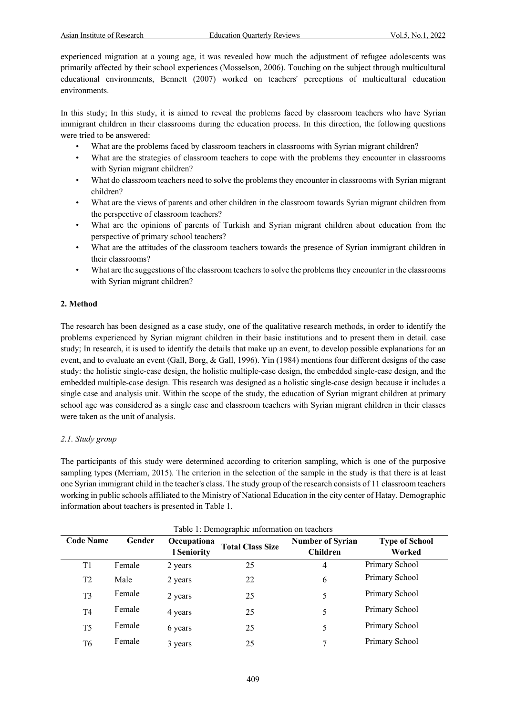experienced migration at a young age, it was revealed how much the adjustment of refugee adolescents was primarily affected by their school experiences (Mosselson, 2006). Touching on the subject through multicultural educational environments, Bennett (2007) worked on teachers' perceptions of multicultural education environments.

In this study; In this study, it is aimed to reveal the problems faced by classroom teachers who have Syrian immigrant children in their classrooms during the education process. In this direction, the following questions were tried to be answered:

- What are the problems faced by classroom teachers in classrooms with Syrian migrant children?
- What are the strategies of classroom teachers to cope with the problems they encounter in classrooms with Syrian migrant children?
- What do classroom teachers need to solve the problems they encounter in classrooms with Syrian migrant children?
- What are the views of parents and other children in the classroom towards Syrian migrant children from the perspective of classroom teachers?
- What are the opinions of parents of Turkish and Syrian migrant children about education from the perspective of primary school teachers?
- What are the attitudes of the classroom teachers towards the presence of Syrian immigrant children in their classrooms?
- What are the suggestions of the classroom teachers to solve the problems they encounter in the classrooms with Syrian migrant children?

# **2. Method**

The research has been designed as a case study, one of the qualitative research methods, in order to identify the problems experienced by Syrian migrant children in their basic institutions and to present them in detail. case study; In research, it is used to identify the details that make up an event, to develop possible explanations for an event, and to evaluate an event (Gall, Borg, & Gall, 1996). Yin (1984) mentions four different designs of the case study: the holistic single-case design, the holistic multiple-case design, the embedded single-case design, and the embedded multiple-case design. This research was designed as a holistic single-case design because it includes a single case and analysis unit. Within the scope of the study, the education of Syrian migrant children at primary school age was considered as a single case and classroom teachers with Syrian migrant children in their classes were taken as the unit of analysis.

#### *2.1. Study group*

The participants of this study were determined according to criterion sampling, which is one of the purposive sampling types (Merriam, 2015). The criterion in the selection of the sample in the study is that there is at least one Syrian immigrant child in the teacher's class. The study group of the research consists of 11 classroom teachers working in public schools affiliated to the Ministry of National Education in the city center of Hatay. Demographic information about teachers is presented in Table 1.

| Table 1: Demographic information on leachers |        |                                   |                         |                                            |                                 |
|----------------------------------------------|--------|-----------------------------------|-------------------------|--------------------------------------------|---------------------------------|
| <b>Code Name</b>                             | Gender | Occupationa<br><b>l Seniority</b> | <b>Total Class Size</b> | <b>Number of Syrian</b><br><b>Children</b> | <b>Type of School</b><br>Worked |
| T1                                           | Female | 2 years                           | 25                      | 4                                          | Primary School                  |
| T <sub>2</sub>                               | Male   | 2 years                           | 22                      | 6                                          | Primary School                  |
| T <sub>3</sub>                               | Female | 2 years                           | 25                      | 5                                          | Primary School                  |
| T4                                           | Female | 4 years                           | 25                      | 5                                          | Primary School                  |
| T <sub>5</sub>                               | Female | 6 years                           | 25                      | 5                                          | Primary School                  |
| T6                                           | Female | 3 years                           | 25                      | 7                                          | Primary School                  |

Table 1: Demographic information on teach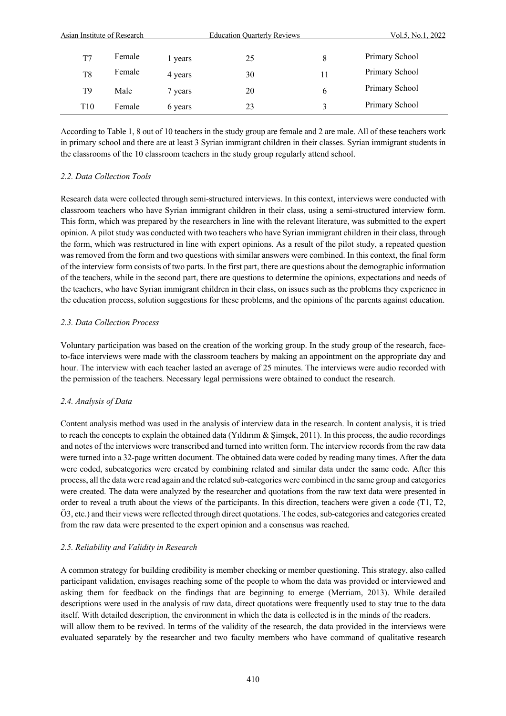| Asian Institute of Research |        |         | <b>Education Quarterly Reviews</b> | Vol.5, No.1, 2022 |                |
|-----------------------------|--------|---------|------------------------------------|-------------------|----------------|
| T7                          | Female | l years | 25                                 | 8                 | Primary School |
| T8                          | Female | 4 years | 30                                 | 11                | Primary School |
| T9                          | Male   | 7 years | 20                                 | 6                 | Primary School |
| T <sub>10</sub>             | Female | 6 years | 23                                 | ζ                 | Primary School |

According to Table 1, 8 out of 10 teachers in the study group are female and 2 are male. All of these teachers work in primary school and there are at least 3 Syrian immigrant children in their classes. Syrian immigrant students in the classrooms of the 10 classroom teachers in the study group regularly attend school.

# *2.2. Data Collection Tools*

Research data were collected through semi-structured interviews. In this context, interviews were conducted with classroom teachers who have Syrian immigrant children in their class, using a semi-structured interview form. This form, which was prepared by the researchers in line with the relevant literature, was submitted to the expert opinion. A pilot study was conducted with two teachers who have Syrian immigrant children in their class, through the form, which was restructured in line with expert opinions. As a result of the pilot study, a repeated question was removed from the form and two questions with similar answers were combined. In this context, the final form of the interview form consists of two parts. In the first part, there are questions about the demographic information of the teachers, while in the second part, there are questions to determine the opinions, expectations and needs of the teachers, who have Syrian immigrant children in their class, on issues such as the problems they experience in the education process, solution suggestions for these problems, and the opinions of the parents against education.

# *2.3. Data Collection Process*

Voluntary participation was based on the creation of the working group. In the study group of the research, faceto-face interviews were made with the classroom teachers by making an appointment on the appropriate day and hour. The interview with each teacher lasted an average of 25 minutes. The interviews were audio recorded with the permission of the teachers. Necessary legal permissions were obtained to conduct the research.

# *2.4. Analysis of Data*

Content analysis method was used in the analysis of interview data in the research. In content analysis, it is tried to reach the concepts to explain the obtained data (Yıldırım & Şimşek, 2011). In this process, the audio recordings and notes of the interviews were transcribed and turned into written form. The interview records from the raw data were turned into a 32-page written document. The obtained data were coded by reading many times. After the data were coded, subcategories were created by combining related and similar data under the same code. After this process, all the data were read again and the related sub-categories were combined in the same group and categories were created. The data were analyzed by the researcher and quotations from the raw text data were presented in order to reveal a truth about the views of the participants. In this direction, teachers were given a code (T1, T2, Ö3, etc.) and their views were reflected through direct quotations. The codes, sub-categories and categories created from the raw data were presented to the expert opinion and a consensus was reached.

# *2.5. Reliability and Validity in Research*

A common strategy for building credibility is member checking or member questioning. This strategy, also called participant validation, envisages reaching some of the people to whom the data was provided or interviewed and asking them for feedback on the findings that are beginning to emerge (Merriam, 2013). While detailed descriptions were used in the analysis of raw data, direct quotations were frequently used to stay true to the data itself. With detailed description, the environment in which the data is collected is in the minds of the readers. will allow them to be revived. In terms of the validity of the research, the data provided in the interviews were evaluated separately by the researcher and two faculty members who have command of qualitative research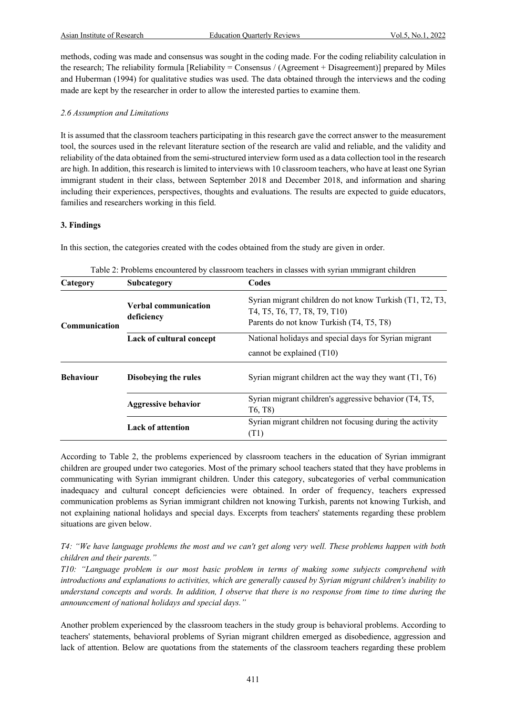methods, coding was made and consensus was sought in the coding made. For the coding reliability calculation in the research; The reliability formula [Reliability = Consensus / (Agreement + Disagreement)] prepared by Miles and Huberman (1994) for qualitative studies was used. The data obtained through the interviews and the coding made are kept by the researcher in order to allow the interested parties to examine them.

#### *2.6 Assumption and Limitations*

It is assumed that the classroom teachers participating in this research gave the correct answer to the measurement tool, the sources used in the relevant literature section of the research are valid and reliable, and the validity and reliability of the data obtained from the semi-structured interview form used as a data collection tool in the research are high. In addition, this research is limited to interviews with 10 classroom teachers, who have at least one Syrian immigrant student in their class, between September 2018 and December 2018, and information and sharing including their experiences, perspectives, thoughts and evaluations. The results are expected to guide educators, families and researchers working in this field.

#### **3. Findings**

In this section, the categories created with the codes obtained from the study are given in order.

| Category             | Subcategory                               | Codes                                                                                                                                |
|----------------------|-------------------------------------------|--------------------------------------------------------------------------------------------------------------------------------------|
| <b>Communication</b> | <b>Verbal communication</b><br>deficiency | Syrian migrant children do not know Turkish (T1, T2, T3,<br>T4, T5, T6, T7, T8, T9, T10)<br>Parents do not know Turkish (T4, T5, T8) |
|                      | Lack of cultural concept                  | National holidays and special days for Syrian migrant                                                                                |
|                      |                                           | cannot be explained (T10)                                                                                                            |
| <b>Behaviour</b>     | Disobeying the rules                      | Syrian migrant children act the way they want $(T1, T6)$                                                                             |
|                      | <b>Aggressive behavior</b>                | Syrian migrant children's aggressive behavior (T4, T5,                                                                               |
|                      |                                           | T <sub>6</sub> , T <sub>8</sub> )                                                                                                    |
|                      | <b>Lack of attention</b>                  | Syrian migrant children not focusing during the activity<br>(T1)                                                                     |

Table 2: Problems encountered by classroom teachers in classes with syrian ımmigrant children

According to Table 2, the problems experienced by classroom teachers in the education of Syrian immigrant children are grouped under two categories. Most of the primary school teachers stated that they have problems in communicating with Syrian immigrant children. Under this category, subcategories of verbal communication inadequacy and cultural concept deficiencies were obtained. In order of frequency, teachers expressed communication problems as Syrian immigrant children not knowing Turkish, parents not knowing Turkish, and not explaining national holidays and special days. Excerpts from teachers' statements regarding these problem situations are given below.

*T4: "We have language problems the most and we can't get along very well. These problems happen with both children and their parents."*

*T10: "Language problem is our most basic problem in terms of making some subjects comprehend with introductions and explanations to activities, which are generally caused by Syrian migrant children's inability to understand concepts and words. In addition, I observe that there is no response from time to time during the announcement of national holidays and special days."*

Another problem experienced by the classroom teachers in the study group is behavioral problems. According to teachers' statements, behavioral problems of Syrian migrant children emerged as disobedience, aggression and lack of attention. Below are quotations from the statements of the classroom teachers regarding these problem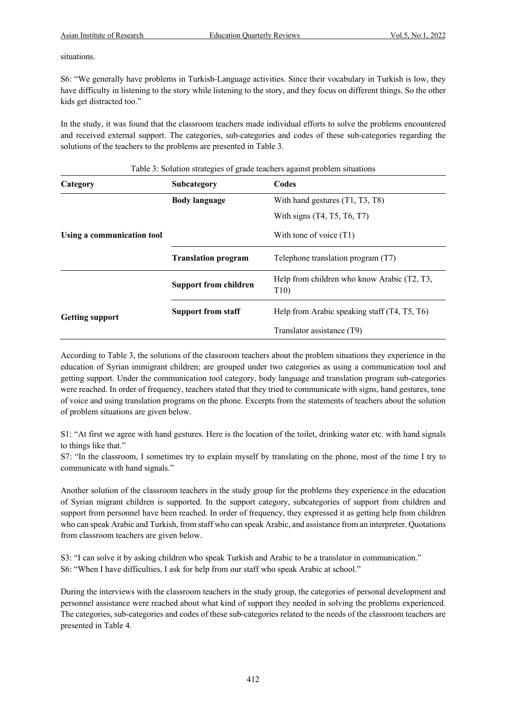situations.

S6: "We generally have problems in Turkish-Language activities. Since their vocabulary in Turkish is low, they have difficulty in listening to the story while listening to the story, and they focus on different things. So the other kids get distracted too."

In the study, it was found that the classroom teachers made individual efforts to solve the problems encountered and received external support. The categories, sub-categories and codes of these sub-categories regarding the solutions of the teachers to the problems are presented in Table 3.

| Category                   | <b>Subcategory</b>           | Codes                                              |
|----------------------------|------------------------------|----------------------------------------------------|
|                            | <b>Body language</b>         | With hand gestures (T1, T3, T8)                    |
|                            |                              | With signs (T4, T5, T6, T7)                        |
| Using a communication tool |                              | With tone of voice $(T1)$                          |
|                            | <b>Translation program</b>   | Telephone translation program (T7)                 |
|                            | <b>Support from children</b> | Help from children who know Arabic (T2, T3,<br>T10 |
| <b>Getting support</b>     | <b>Support from staff</b>    | Help from Arabic speaking staff (T4, T5, T6)       |
|                            |                              | Translator assistance (T9)                         |

Table 3: Solution strategies of grade teachers against problem situations

According to Table 3, the solutions of the classroom teachers about the problem situations they experience in the education of Syrian immigrant children; are grouped under two categories as using a communication tool and getting support. Under the communication tool category, body language and translation program sub-categories were reached. In order of frequency, teachers stated that they tried to communicate with signs, hand gestures, tone of voice and using translation programs on the phone. Excerpts from the statements of teachers about the solution of problem situations are given below.

S1: "At first we agree with hand gestures. Here is the location of the toilet, drinking water etc. with hand signals to things like that."

S7: "In the classroom, I sometimes try to explain myself by translating on the phone, most of the time I try to communicate with hand signals."

Another solution of the classroom teachers in the study group for the problems they experience in the education of Syrian migrant children is supported. In the support category, subcategories of support from children and support from personnel have been reached. In order of frequency, they expressed it as getting help from children who can speak Arabic and Turkish, from staff who can speak Arabic, and assistance from an interpreter. Quotations from classroom teachers are given below.

S3: "I can solve it by asking children who speak Turkish and Arabic to be a translator in communication." S6: "When I have difficulties, I ask for help from our staff who speak Arabic at school."

During the interviews with the classroom teachers in the study group, the categories of personal development and personnel assistance were reached about what kind of support they needed in solving the problems experienced. The categories, sub-categories and codes of these sub-categories related to the needs of the classroom teachers are presented in Table 4.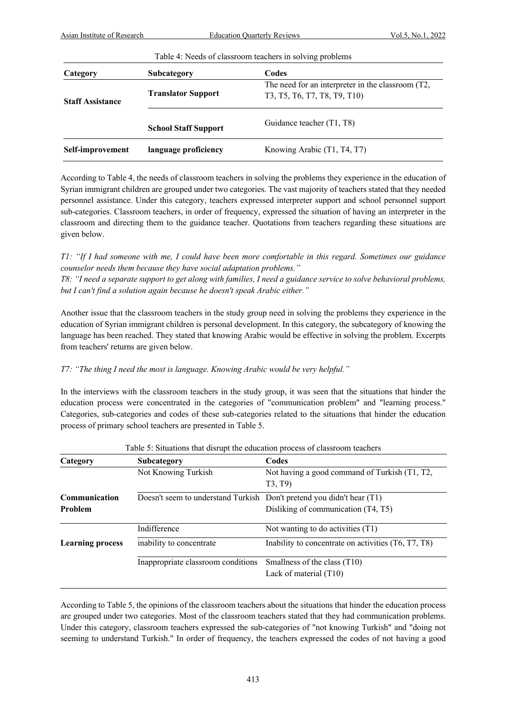| Table 4: Needs of classroom teachers in solving problems |                             |                                                                                   |  |
|----------------------------------------------------------|-----------------------------|-----------------------------------------------------------------------------------|--|
| Category                                                 | Subcategory                 | Codes                                                                             |  |
| <b>Staff Assistance</b>                                  | <b>Translator Support</b>   | The need for an interpreter in the classroom (T2,<br>T3, T5, T6, T7, T8, T9, T10) |  |
|                                                          | <b>School Staff Support</b> | Guidance teacher (T1, T8)                                                         |  |
| Self-improvement                                         | language proficiency        | Knowing Arabic (T1, T4, T7)                                                       |  |

According to Table 4, the needs of classroom teachers in solving the problems they experience in the education of Syrian immigrant children are grouped under two categories. The vast majority of teachers stated that they needed personnel assistance. Under this category, teachers expressed interpreter support and school personnel support sub-categories. Classroom teachers, in order of frequency, expressed the situation of having an interpreter in the classroom and directing them to the guidance teacher. Quotations from teachers regarding these situations are given below.

*T1: "If I had someone with me, I could have been more comfortable in this regard. Sometimes our guidance counselor needs them because they have social adaptation problems."*

*T8: "I need a separate support to get along with families, I need a guidance service to solve behavioral problems, but I can't find a solution again because he doesn't speak Arabic either."*

Another issue that the classroom teachers in the study group need in solving the problems they experience in the education of Syrian immigrant children is personal development. In this category, the subcategory of knowing the language has been reached. They stated that knowing Arabic would be effective in solving the problem. Excerpts from teachers' returns are given below.

# *T7: "The thing I need the most is language. Knowing Arabic would be very helpful."*

In the interviews with the classroom teachers in the study group, it was seen that the situations that hinder the education process were concentrated in the categories of "communication problem" and "learning process." Categories, sub-categories and codes of these sub-categories related to the situations that hinder the education process of primary school teachers are presented in Table 5.

| Category                | Subcategory                                                           | Codes                                                    |
|-------------------------|-----------------------------------------------------------------------|----------------------------------------------------------|
|                         | Not Knowing Turkish                                                   | Not having a good command of Turkish (T1, T2,            |
|                         |                                                                       | T3, T9)                                                  |
| Communication           | Doesn't seem to understand Turkish Don't pretend you didn't hear (T1) |                                                          |
| <b>Problem</b>          |                                                                       | Disliking of communication (T4, T5)                      |
|                         | Indifference                                                          | Not wanting to do activities (T1)                        |
| <b>Learning process</b> | inability to concentrate                                              | Inability to concentrate on activities (T6, T7, T8)      |
|                         | Inappropriate classroom conditions                                    | Smallness of the class (T10)<br>Lack of material $(T10)$ |

Table 5: Situations that disrupt the education process of classroom teachers

According to Table 5, the opinions of the classroom teachers about the situations that hinder the education process are grouped under two categories. Most of the classroom teachers stated that they had communication problems. Under this category, classroom teachers expressed the sub-categories of "not knowing Turkish" and "doing not seeming to understand Turkish." In order of frequency, the teachers expressed the codes of not having a good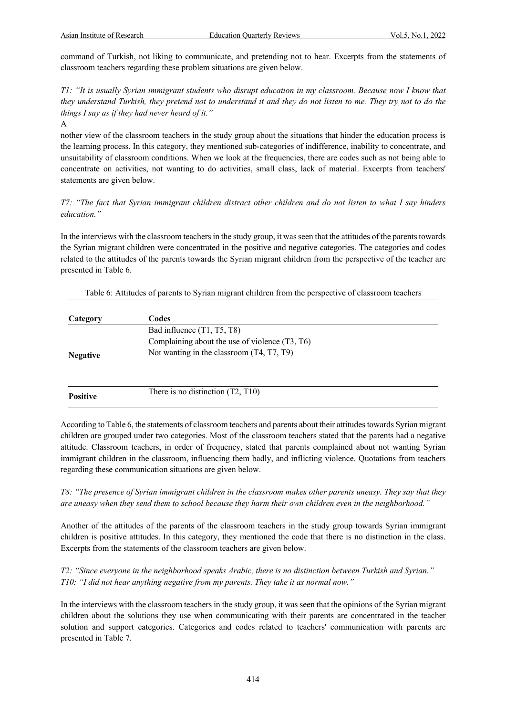command of Turkish, not liking to communicate, and pretending not to hear. Excerpts from the statements of classroom teachers regarding these problem situations are given below.

*T1: "It is usually Syrian immigrant students who disrupt education in my classroom. Because now I know that they understand Turkish, they pretend not to understand it and they do not listen to me. They try not to do the things I say as if they had never heard of it."*

A

nother view of the classroom teachers in the study group about the situations that hinder the education process is the learning process. In this category, they mentioned sub-categories of indifference, inability to concentrate, and unsuitability of classroom conditions. When we look at the frequencies, there are codes such as not being able to concentrate on activities, not wanting to do activities, small class, lack of material. Excerpts from teachers' statements are given below.

# *T7: "The fact that Syrian immigrant children distract other children and do not listen to what I say hinders education."*

In the interviews with the classroom teachers in the study group, it was seen that the attitudes of the parents towards the Syrian migrant children were concentrated in the positive and negative categories. The categories and codes related to the attitudes of the parents towards the Syrian migrant children from the perspective of the teacher are presented in Table 6.

| Table 6: Attitudes of parents to Syrian migrant children from the perspective of classroom teachers |  |  |  |
|-----------------------------------------------------------------------------------------------------|--|--|--|
|                                                                                                     |  |  |  |

| Category        | Codes                                          |
|-----------------|------------------------------------------------|
|                 | Bad influence (T1, T5, T8)                     |
|                 | Complaining about the use of violence (T3, T6) |
| <b>Negative</b> | Not wanting in the classroom (T4, T7, T9)      |
| <b>Positive</b> | There is no distinction $(T2, T10)$            |

According to Table 6, the statements of classroom teachers and parents about their attitudes towards Syrian migrant children are grouped under two categories. Most of the classroom teachers stated that the parents had a negative attitude. Classroom teachers, in order of frequency, stated that parents complained about not wanting Syrian immigrant children in the classroom, influencing them badly, and inflicting violence. Quotations from teachers regarding these communication situations are given below.

*T8: "The presence of Syrian immigrant children in the classroom makes other parents uneasy. They say that they are uneasy when they send them to school because they harm their own children even in the neighborhood."*

Another of the attitudes of the parents of the classroom teachers in the study group towards Syrian immigrant children is positive attitudes. In this category, they mentioned the code that there is no distinction in the class. Excerpts from the statements of the classroom teachers are given below.

*T2: "Since everyone in the neighborhood speaks Arabic, there is no distinction between Turkish and Syrian." T10: "I did not hear anything negative from my parents. They take it as normal now."*

In the interviews with the classroom teachers in the study group, it was seen that the opinions of the Syrian migrant children about the solutions they use when communicating with their parents are concentrated in the teacher solution and support categories. Categories and codes related to teachers' communication with parents are presented in Table 7.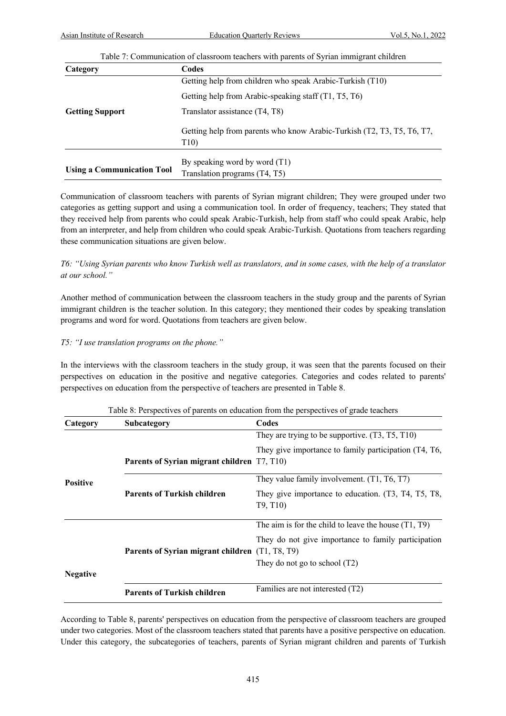|                                   | Table 7: Communication of classroom teachers with parents of Syrian immigrant children    |  |
|-----------------------------------|-------------------------------------------------------------------------------------------|--|
| Category                          | Codes                                                                                     |  |
|                                   | Getting help from children who speak Arabic-Turkish (T10)                                 |  |
|                                   | Getting help from Arabic-speaking staff (T1, T5, T6)                                      |  |
| <b>Getting Support</b>            | Translator assistance (T4, T8)                                                            |  |
|                                   | Getting help from parents who know Arabic-Turkish (T2, T3, T5, T6, T7,<br>T <sub>10</sub> |  |
| <b>Using a Communication Tool</b> | By speaking word by word $(T1)$                                                           |  |
| Translation programs (T4, T5)     |                                                                                           |  |

Communication of classroom teachers with parents of Syrian migrant children; They were grouped under two categories as getting support and using a communication tool. In order of frequency, teachers; They stated that they received help from parents who could speak Arabic-Turkish, help from staff who could speak Arabic, help from an interpreter, and help from children who could speak Arabic-Turkish. Quotations from teachers regarding these communication situations are given below.

# *T6: "Using Syrian parents who know Turkish well as translators, and in some cases, with the help of a translator at our school."*

Another method of communication between the classroom teachers in the study group and the parents of Syrian immigrant children is the teacher solution. In this category; they mentioned their codes by speaking translation programs and word for word. Quotations from teachers are given below.

# *T5: "I use translation programs on the phone."*

In the interviews with the classroom teachers in the study group, it was seen that the parents focused on their perspectives on education in the positive and negative categories. Categories and codes related to parents' perspectives on education from the perspective of teachers are presented in Table 8.

| Category        | Subcategory                                     | Codes                                                                                     |
|-----------------|-------------------------------------------------|-------------------------------------------------------------------------------------------|
|                 |                                                 | They are trying to be supportive. $(T3, T5, T10)$                                         |
|                 | Parents of Syrian migrant children T7, T10)     | They give importance to family participation (T4, T6,                                     |
| <b>Positive</b> |                                                 | They value family involvement. (T1, T6, T7)                                               |
|                 | <b>Parents of Turkish children</b>              | They give importance to education. (T3, T4, T5, T8,<br>T <sub>9</sub> , T <sub>10</sub> ) |
|                 |                                                 | The aim is for the child to leave the house $(T1, T9)$                                    |
|                 | Parents of Syrian migrant children (T1, T8, T9) | They do not give importance to family participation<br>They do not go to school $(T2)$    |
| <b>Negative</b> |                                                 |                                                                                           |
|                 | <b>Parents of Turkish children</b>              | Families are not interested (T2)                                                          |

#### Table 8: Perspectives of parents on education from the perspectives of grade teachers

According to Table 8, parents' perspectives on education from the perspective of classroom teachers are grouped under two categories. Most of the classroom teachers stated that parents have a positive perspective on education. Under this category, the subcategories of teachers, parents of Syrian migrant children and parents of Turkish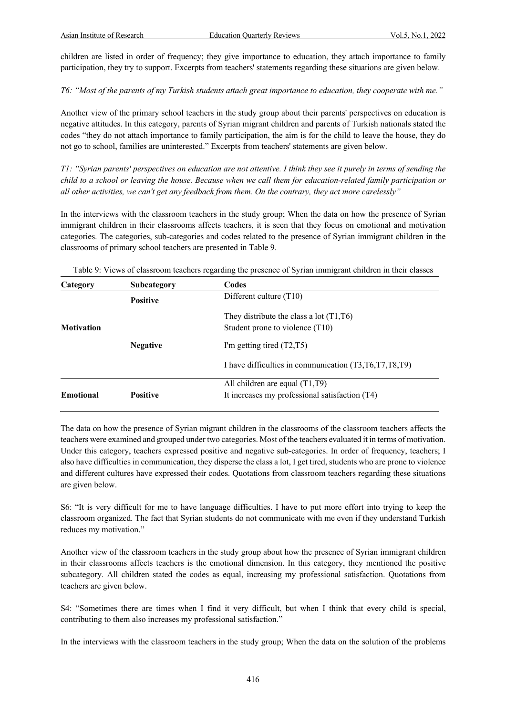children are listed in order of frequency; they give importance to education, they attach importance to family participation, they try to support. Excerpts from teachers' statements regarding these situations are given below.

*T6: "Most of the parents of my Turkish students attach great importance to education, they cooperate with me."*

Another view of the primary school teachers in the study group about their parents' perspectives on education is negative attitudes. In this category, parents of Syrian migrant children and parents of Turkish nationals stated the codes "they do not attach importance to family participation, the aim is for the child to leave the house, they do not go to school, families are uninterested." Excerpts from teachers' statements are given below.

*T1: "Syrian parents' perspectives on education are not attentive. I think they see it purely in terms of sending the child to a school or leaving the house. Because when we call them for education-related family participation or all other activities, we can't get any feedback from them. On the contrary, they act more carelessly"*

In the interviews with the classroom teachers in the study group; When the data on how the presence of Syrian immigrant children in their classrooms affects teachers, it is seen that they focus on emotional and motivation categories. The categories, sub-categories and codes related to the presence of Syrian immigrant children in the classrooms of primary school teachers are presented in Table 9.

| Category          | Subcategory     | Codes                                                     |
|-------------------|-----------------|-----------------------------------------------------------|
|                   | <b>Positive</b> | Different culture $(T10)$                                 |
|                   |                 | They distribute the class a lot $(T1, T6)$                |
| <b>Motivation</b> |                 | Student prone to violence (T10)                           |
|                   | <b>Negative</b> | I'm getting tired $(T2, T5)$                              |
|                   |                 | I have difficulties in communication (T3, T6, T7, T8, T9) |
|                   |                 | All children are equal $(T1,T9)$                          |
| <b>Emotional</b>  | <b>Positive</b> | It increases my professional satisfaction (T4)            |

Table 9: Views of classroom teachers regarding the presence of Syrian immigrant children in their classes

The data on how the presence of Syrian migrant children in the classrooms of the classroom teachers affects the teachers were examined and grouped under two categories. Most of the teachers evaluated it in terms of motivation. Under this category, teachers expressed positive and negative sub-categories. In order of frequency, teachers; I also have difficulties in communication, they disperse the class a lot, I get tired, students who are prone to violence and different cultures have expressed their codes. Quotations from classroom teachers regarding these situations are given below.

S6: "It is very difficult for me to have language difficulties. I have to put more effort into trying to keep the classroom organized. The fact that Syrian students do not communicate with me even if they understand Turkish reduces my motivation."

Another view of the classroom teachers in the study group about how the presence of Syrian immigrant children in their classrooms affects teachers is the emotional dimension. In this category, they mentioned the positive subcategory. All children stated the codes as equal, increasing my professional satisfaction. Quotations from teachers are given below.

S4: "Sometimes there are times when I find it very difficult, but when I think that every child is special, contributing to them also increases my professional satisfaction."

In the interviews with the classroom teachers in the study group; When the data on the solution of the problems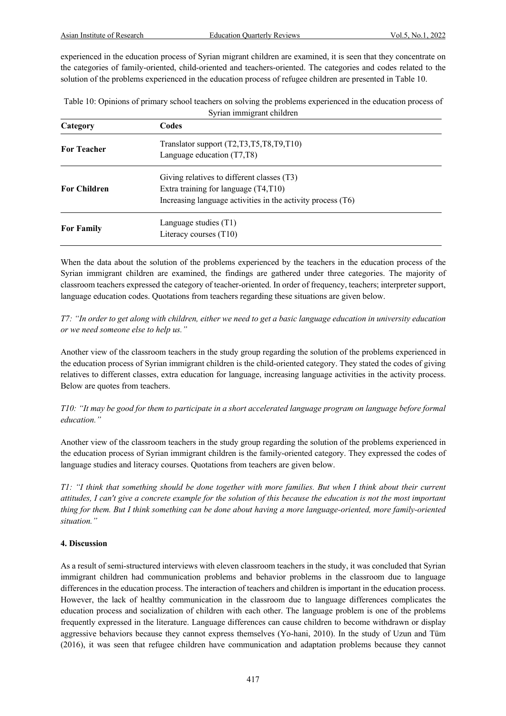experienced in the education process of Syrian migrant children are examined, it is seen that they concentrate on the categories of family-oriented, child-oriented and teachers-oriented. The categories and codes related to the solution of the problems experienced in the education process of refugee children are presented in Table 10.

| Table 10: Opinions of primary school teachers on solving the problems experienced in the education process of |
|---------------------------------------------------------------------------------------------------------------|
| Syrian immigrant children                                                                                     |

| Category            | Codes                                                                                                                                                |  |
|---------------------|------------------------------------------------------------------------------------------------------------------------------------------------------|--|
| <b>For Teacher</b>  | Translator support (T2,T3,T5,T8,T9,T10)<br>Language education (T7,T8)                                                                                |  |
| <b>For Children</b> | Giving relatives to different classes (T3)<br>Extra training for language $(T4, T10)$<br>Increasing language activities in the activity process (T6) |  |
| <b>For Family</b>   | Language studies $(T1)$<br>Literacy courses (T10)                                                                                                    |  |

When the data about the solution of the problems experienced by the teachers in the education process of the Syrian immigrant children are examined, the findings are gathered under three categories. The majority of classroom teachers expressed the category of teacher-oriented. In order of frequency, teachers; interpreter support, language education codes. Quotations from teachers regarding these situations are given below.

*T7: "In order to get along with children, either we need to get a basic language education in university education or we need someone else to help us."*

Another view of the classroom teachers in the study group regarding the solution of the problems experienced in the education process of Syrian immigrant children is the child-oriented category. They stated the codes of giving relatives to different classes, extra education for language, increasing language activities in the activity process. Below are quotes from teachers.

*T10: "It may be good for them to participate in a short accelerated language program on language before formal education."*

Another view of the classroom teachers in the study group regarding the solution of the problems experienced in the education process of Syrian immigrant children is the family-oriented category. They expressed the codes of language studies and literacy courses. Quotations from teachers are given below.

*T1: "I think that something should be done together with more families. But when I think about their current attitudes, I can't give a concrete example for the solution of this because the education is not the most important thing for them. But I think something can be done about having a more language-oriented, more family-oriented situation."*

# **4. Discussion**

As a result of semi-structured interviews with eleven classroom teachers in the study, it was concluded that Syrian immigrant children had communication problems and behavior problems in the classroom due to language differences in the education process. The interaction of teachers and children is important in the education process. However, the lack of healthy communication in the classroom due to language differences complicates the education process and socialization of children with each other. The language problem is one of the problems frequently expressed in the literature. Language differences can cause children to become withdrawn or display aggressive behaviors because they cannot express themselves (Yo-hani, 2010). In the study of Uzun and Tüm (2016), it was seen that refugee children have communication and adaptation problems because they cannot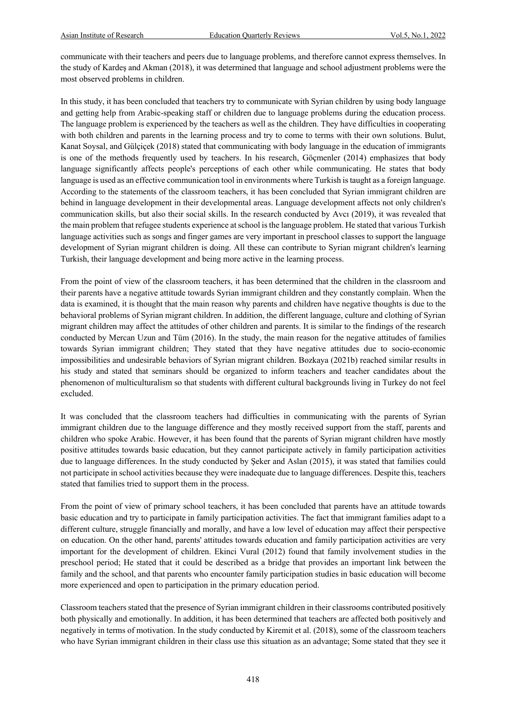communicate with their teachers and peers due to language problems, and therefore cannot express themselves. In the study of Kardeş and Akman (2018), it was determined that language and school adjustment problems were the most observed problems in children.

In this study, it has been concluded that teachers try to communicate with Syrian children by using body language and getting help from Arabic-speaking staff or children due to language problems during the education process. The language problem is experienced by the teachers as well as the children. They have difficulties in cooperating with both children and parents in the learning process and try to come to terms with their own solutions. Bulut, Kanat Soysal, and Gülçiçek (2018) stated that communicating with body language in the education of immigrants is one of the methods frequently used by teachers. In his research, Göçmenler (2014) emphasizes that body language significantly affects people's perceptions of each other while communicating. He states that body language is used as an effective communication tool in environments where Turkish is taught as a foreign language. According to the statements of the classroom teachers, it has been concluded that Syrian immigrant children are behind in language development in their developmental areas. Language development affects not only children's communication skills, but also their social skills. In the research conducted by Avcı (2019), it was revealed that the main problem that refugee students experience at school is the language problem. He stated that various Turkish language activities such as songs and finger games are very important in preschool classes to support the language development of Syrian migrant children is doing. All these can contribute to Syrian migrant children's learning Turkish, their language development and being more active in the learning process.

From the point of view of the classroom teachers, it has been determined that the children in the classroom and their parents have a negative attitude towards Syrian immigrant children and they constantly complain. When the data is examined, it is thought that the main reason why parents and children have negative thoughts is due to the behavioral problems of Syrian migrant children. In addition, the different language, culture and clothing of Syrian migrant children may affect the attitudes of other children and parents. It is similar to the findings of the research conducted by Mercan Uzun and Tüm (2016). In the study, the main reason for the negative attitudes of families towards Syrian immigrant children; They stated that they have negative attitudes due to socio-economic impossibilities and undesirable behaviors of Syrian migrant children. Bozkaya (2021b) reached similar results in his study and stated that seminars should be organized to inform teachers and teacher candidates about the phenomenon of multiculturalism so that students with different cultural backgrounds living in Turkey do not feel excluded.

It was concluded that the classroom teachers had difficulties in communicating with the parents of Syrian immigrant children due to the language difference and they mostly received support from the staff, parents and children who spoke Arabic. However, it has been found that the parents of Syrian migrant children have mostly positive attitudes towards basic education, but they cannot participate actively in family participation activities due to language differences. In the study conducted by Şeker and Aslan (2015), it was stated that families could not participate in school activities because they were inadequate due to language differences. Despite this, teachers stated that families tried to support them in the process.

From the point of view of primary school teachers, it has been concluded that parents have an attitude towards basic education and try to participate in family participation activities. The fact that immigrant families adapt to a different culture, struggle financially and morally, and have a low level of education may affect their perspective on education. On the other hand, parents' attitudes towards education and family participation activities are very important for the development of children. Ekinci Vural (2012) found that family involvement studies in the preschool period; He stated that it could be described as a bridge that provides an important link between the family and the school, and that parents who encounter family participation studies in basic education will become more experienced and open to participation in the primary education period.

Classroom teachers stated that the presence of Syrian immigrant children in their classrooms contributed positively both physically and emotionally. In addition, it has been determined that teachers are affected both positively and negatively in terms of motivation. In the study conducted by Kiremit et al. (2018), some of the classroom teachers who have Syrian immigrant children in their class use this situation as an advantage; Some stated that they see it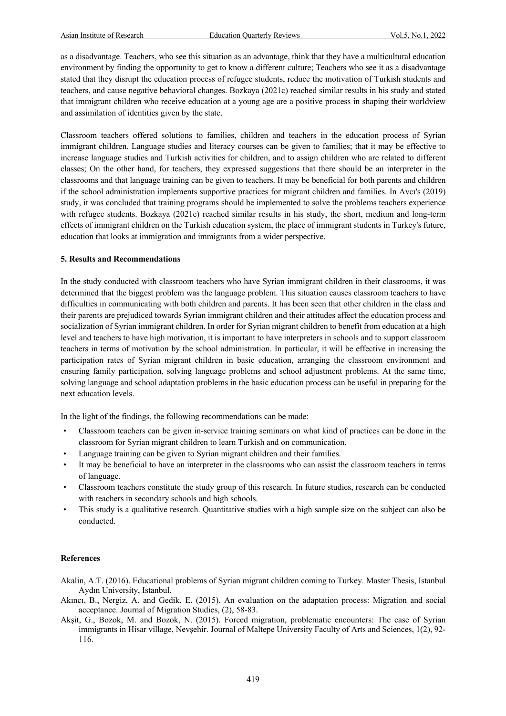as a disadvantage. Teachers, who see this situation as an advantage, think that they have a multicultural education environment by finding the opportunity to get to know a different culture; Teachers who see it as a disadvantage stated that they disrupt the education process of refugee students, reduce the motivation of Turkish students and teachers, and cause negative behavioral changes. Bozkaya (2021c) reached similar results in his study and stated that immigrant children who receive education at a young age are a positive process in shaping their worldview and assimilation of identities given by the state.

Classroom teachers offered solutions to families, children and teachers in the education process of Syrian immigrant children. Language studies and literacy courses can be given to families; that it may be effective to increase language studies and Turkish activities for children, and to assign children who are related to different classes; On the other hand, for teachers, they expressed suggestions that there should be an interpreter in the classrooms and that language training can be given to teachers. It may be beneficial for both parents and children if the school administration implements supportive practices for migrant children and families. In Avcı's (2019) study, it was concluded that training programs should be implemented to solve the problems teachers experience with refugee students. Bozkaya (2021e) reached similar results in his study, the short, medium and long-term effects of immigrant children on the Turkish education system, the place of immigrant students in Turkey's future, education that looks at immigration and immigrants from a wider perspective.

#### **5. Results and Recommendations**

In the study conducted with classroom teachers who have Syrian immigrant children in their classrooms, it was determined that the biggest problem was the language problem. This situation causes classroom teachers to have difficulties in communicating with both children and parents. It has been seen that other children in the class and their parents are prejudiced towards Syrian immigrant children and their attitudes affect the education process and socialization of Syrian immigrant children. In order for Syrian migrant children to benefit from education at a high level and teachers to have high motivation, it is important to have interpreters in schools and to support classroom teachers in terms of motivation by the school administration. In particular, it will be effective in increasing the participation rates of Syrian migrant children in basic education, arranging the classroom environment and ensuring family participation, solving language problems and school adjustment problems. At the same time, solving language and school adaptation problems in the basic education process can be useful in preparing for the next education levels.

In the light of the findings, the following recommendations can be made:

- Classroom teachers can be given in-service training seminars on what kind of practices can be done in the classroom for Syrian migrant children to learn Turkish and on communication.
- Language training can be given to Syrian migrant children and their families.
- It may be beneficial to have an interpreter in the classrooms who can assist the classroom teachers in terms of language.
- Classroom teachers constitute the study group of this research. In future studies, research can be conducted with teachers in secondary schools and high schools.
- This study is a qualitative research. Quantitative studies with a high sample size on the subject can also be conducted.

#### **References**

- Akalin, A.T. (2016). Educational problems of Syrian migrant children coming to Turkey. Master Thesis, Istanbul Aydın University, Istanbul.
- Akıncı, B., Nergiz, A. and Gedik, E. (2015). An evaluation on the adaptation process: Migration and social acceptance. Journal of Migration Studies, (2), 58-83.
- Akşit, G., Bozok, M. and Bozok, N. (2015). Forced migration, problematic encounters: The case of Syrian immigrants in Hisar village, Nevşehir. Journal of Maltepe University Faculty of Arts and Sciences, 1(2), 92- 116.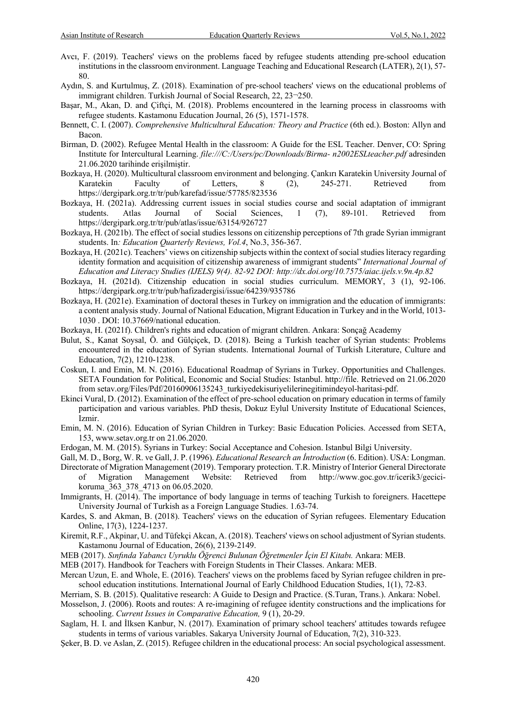- Avcı, F. (2019). Teachers' views on the problems faced by refugee students attending pre-school education institutions in the classroom environment. Language Teaching and Educational Research (LATER), 2(1), 57- 80.
- Aydın, S. and Kurtulmuş, Z. (2018). Examination of pre-school teachers' views on the educational problems of immigrant children. Turkish Journal of Social Research, 22, 23¬250.
- Başar, M., Akan, D. and Çiftçi, M. (2018). Problems encountered in the learning process in classrooms with refugee students. Kastamonu Education Journal, 26 (5), 1571-1578.
- Bennett, C. I. (2007). *Comprehensive Multicultural Education: Theory and Practice* (6th ed.). Boston: Allyn and Bacon.
- Birman, D. (2002). Refugee Mental Health in the classroom: A Guide for the ESL Teacher. Denver, CO: Spring Institute for Intercultural Learning. *file:///C:/Users/pc/Downloads/Birma- n2002ESLteacher.pdf* adresinden 21.06.2020 tarihinde erişilmiştir.
- Bozkaya, H. (2020). Multicultural classroom environment and belonging. Çankırı Karatekin University Journal of Karatekin Faculty of Letters, 8 (2), 245-271. Retrieved from https://dergipark.org.tr/tr/pub/karefad/issue/57785/823536
- Bozkaya, H. (2021a). Addressing current issues in social studies course and social adaptation of immigrant students. Atlas Journal of Social Sciences, 1 (7), 89-101. Retrieved from https://dergipark.org.tr/tr/pub/atlas/issue/63154/926727
- Bozkaya, H. (2021b). The effect of social studies lessons on citizenship perceptions of 7th grade Syrian immigrant students. In*: Education Quarterly Reviews, Vol.4*, No.3, 356-367.
- Bozkaya, H. (2021c). Teachers' views on citizenship subjects within the context of social studies literacy regarding identity formation and acquisition of citizenship awareness of immigrant students" *International Journal of Education and Literacy Studies (IJELS) 9(4). 82-92 DOI: http://dx.doi.org/10.7575/aiac.ijels.v.9n.4p.82*
- Bozkaya, H. (2021d). Citizenship education in social studies curriculum. MEMORY, 3 (1), 92-106. https://dergipark.org.tr/tr/pub/hafizadergisi/issue/64239/935786
- Bozkaya, H. (2021e). Examination of doctoral theses in Turkey on immigration and the education of immigrants: a content analysis study. Journal of National Education, Migrant Education in Turkey and in the World, 1013- 1030 . DOI: 10.37669/national education.
- Bozkaya, H. (2021f). Children's rights and education of migrant children. Ankara: Sonçağ Academy
- Bulut, S., Kanat Soysal, Ö. and Gülçiçek, D. (2018). Being a Turkish teacher of Syrian students: Problems encountered in the education of Syrian students. International Journal of Turkish Literature, Culture and Education, 7(2), 1210-1238.
- Coskun, I. and Emin, M. N. (2016). Educational Roadmap of Syrians in Turkey. Opportunities and Challenges. SETA Foundation for Political, Economic and Social Studies: Istanbul. http://file. Retrieved on 21.06.2020 from setav.org/Files/Pdf/20160906135243\_turkiyedekisuriyelilerinegitimindeyol-haritasi-pdf.
- Ekinci Vural, D. (2012). Examination of the effect of pre-school education on primary education in terms of family participation and various variables. PhD thesis, Dokuz Eylul University Institute of Educational Sciences, Izmir.
- Emin, M. N. (2016). Education of Syrian Children in Turkey: Basic Education Policies. Accessed from SETA, 153, www.setav.org.tr on 21.06.2020.
- Erdogan, M. M. (2015). Syrians in Turkey: Social Acceptance and Cohesion. Istanbul Bilgi University.
- Gall, M. D., Borg, W. R. ve Gall, J. P. (1996). *Educational Research an İntroduction* (6. Edition). USA: Longman.
- Directorate of Migration Management (2019). Temporary protection. T.R. Ministry of Interior General Directorate of Migration Management Website: Retrieved from http://www.goc.gov.tr/icerik3/gecicikoruma\_363\_378\_4713 on 06.05.2020.
- Immigrants, H. (2014). The importance of body language in terms of teaching Turkish to foreigners. Hacettepe University Journal of Turkish as a Foreign Language Studies. 1.63-74.
- Kardes, S. and Akman, B. (2018). Teachers' views on the education of Syrian refugees. Elementary Education Online, 17(3), 1224-1237.
- Kiremit, R.F., Akpinar, U. and Tüfekçi Akcan, A. (2018). Teachers' views on school adjustment of Syrian students. Kastamonu Journal of Education, 26(6), 2139-2149.
- MEB (2017). *Sınfında Yabancı Uyruklu Öğrenci Bulunan Öğretmenler İçin El Kitabı.* Ankara: MEB.
- MEB (2017). Handbook for Teachers with Foreign Students in Their Classes. Ankara: MEB.
- Mercan Uzun, E. and Whole, E. (2016). Teachers' views on the problems faced by Syrian refugee children in preschool education institutions. International Journal of Early Childhood Education Studies, 1(1), 72-83.
- Merriam, S. B. (2015). Qualitative research: A Guide to Design and Practice. (S.Turan, Trans.). Ankara: Nobel.
- Mosselson, J. (2006). Roots and routes: A re-imagining of refugee identity constructions and the implications for schooling. *Current Issues in Comparative Education,* 9 (1), 20-29.
- Saglam, H. I. and İlksen Kanbur, N. (2017). Examination of primary school teachers' attitudes towards refugee students in terms of various variables. Sakarya University Journal of Education, 7(2), 310-323.
- Şeker, B. D. ve Aslan, Z. (2015). Refugee children in the educational process: An social psychological assessment.